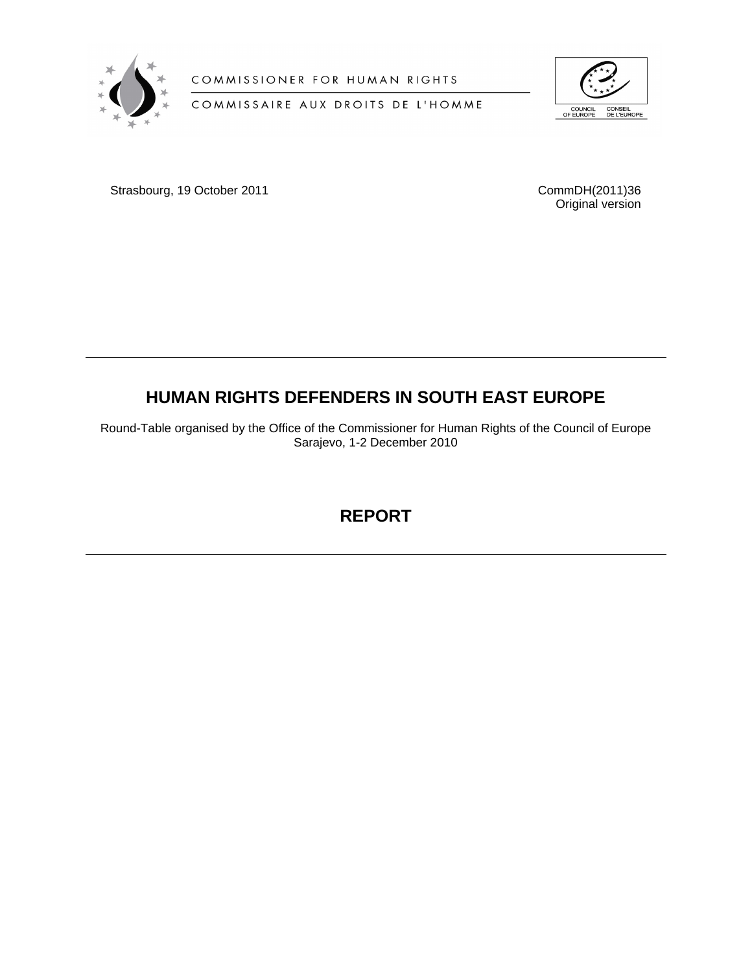

COMMISSIONER FOR HUMAN RIGHTS

COMMISSAIRE AUX DROITS DE L'HOMME



Strasbourg, 19 October 2011 CommDH(2011)36

Original version

# **HUMAN RIGHTS DEFENDERS IN SOUTH EAST EUROPE**

Round-Table organised by the Office of the Commissioner for Human Rights of the Council of Europe Sarajevo, 1-2 December 2010

**REPORT**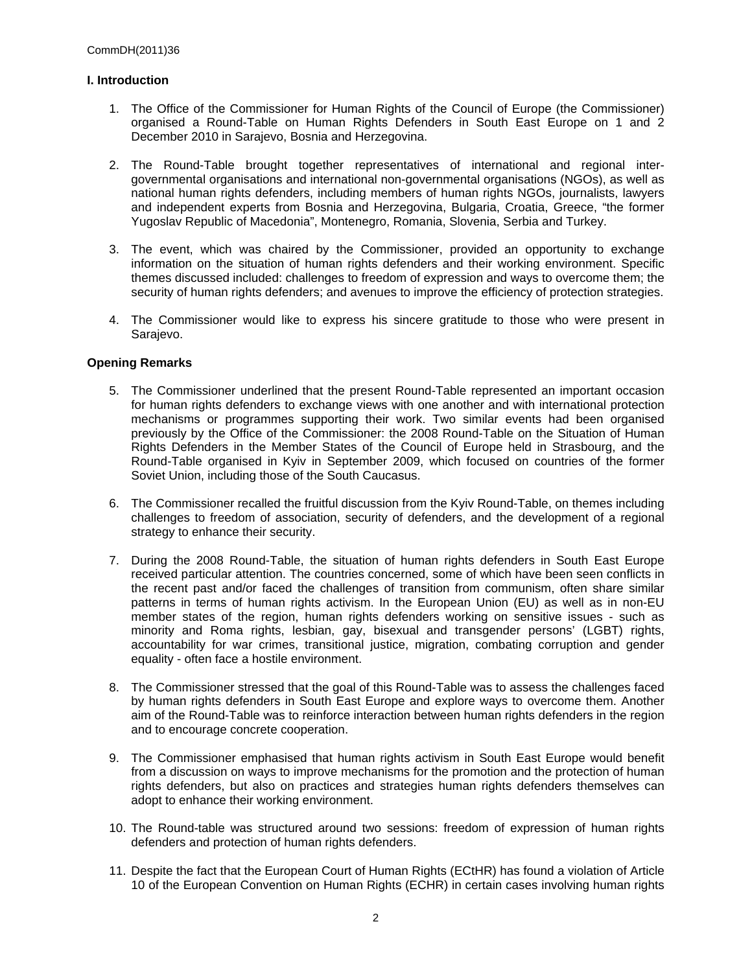## **I. Introduction**

- 1. The Office of the Commissioner for Human Rights of the Council of Europe (the Commissioner) organised a Round-Table on Human Rights Defenders in South East Europe on 1 and 2 December 2010 in Sarajevo, Bosnia and Herzegovina.
- 2. The Round-Table brought together representatives of international and regional intergovernmental organisations and international non-governmental organisations (NGOs), as well as national human rights defenders, including members of human rights NGOs, journalists, lawyers and independent experts from Bosnia and Herzegovina, Bulgaria, Croatia, Greece, "the former Yugoslav Republic of Macedonia", Montenegro, Romania, Slovenia, Serbia and Turkey.
- 3. The event, which was chaired by the Commissioner, provided an opportunity to exchange information on the situation of human rights defenders and their working environment. Specific themes discussed included: challenges to freedom of expression and ways to overcome them; the security of human rights defenders; and avenues to improve the efficiency of protection strategies.
- 4. The Commissioner would like to express his sincere gratitude to those who were present in Sarajevo.

### **Opening Remarks**

- 5. The Commissioner underlined that the present Round-Table represented an important occasion for human rights defenders to exchange views with one another and with international protection mechanisms or programmes supporting their work. Two similar events had been organised previously by the Office of the Commissioner: the 2008 Round-Table on the Situation of Human Rights Defenders in the Member States of the Council of Europe held in Strasbourg, and the Round-Table organised in Kyiv in September 2009, which focused on countries of the former Soviet Union, including those of the South Caucasus.
- 6. The Commissioner recalled the fruitful discussion from the Kyiv Round-Table, on themes including challenges to freedom of association, security of defenders, and the development of a regional strategy to enhance their security.
- 7. During the 2008 Round-Table, the situation of human rights defenders in South East Europe received particular attention. The countries concerned, some of which have been seen conflicts in the recent past and/or faced the challenges of transition from communism, often share similar patterns in terms of human rights activism. In the European Union (EU) as well as in non-EU member states of the region, human rights defenders working on sensitive issues - such as minority and Roma rights, lesbian, gay, bisexual and transgender persons' (LGBT) rights, accountability for war crimes, transitional justice, migration, combating corruption and gender equality - often face a hostile environment.
- 8. The Commissioner stressed that the goal of this Round-Table was to assess the challenges faced by human rights defenders in South East Europe and explore ways to overcome them. Another aim of the Round-Table was to reinforce interaction between human rights defenders in the region and to encourage concrete cooperation.
- 9. The Commissioner emphasised that human rights activism in South East Europe would benefit from a discussion on ways to improve mechanisms for the promotion and the protection of human rights defenders, but also on practices and strategies human rights defenders themselves can adopt to enhance their working environment.
- 10. The Round-table was structured around two sessions: freedom of expression of human rights defenders and protection of human rights defenders.
- 11. Despite the fact that the European Court of Human Rights (ECtHR) has found a violation of Article 10 of the European Convention on Human Rights (ECHR) in certain cases involving human rights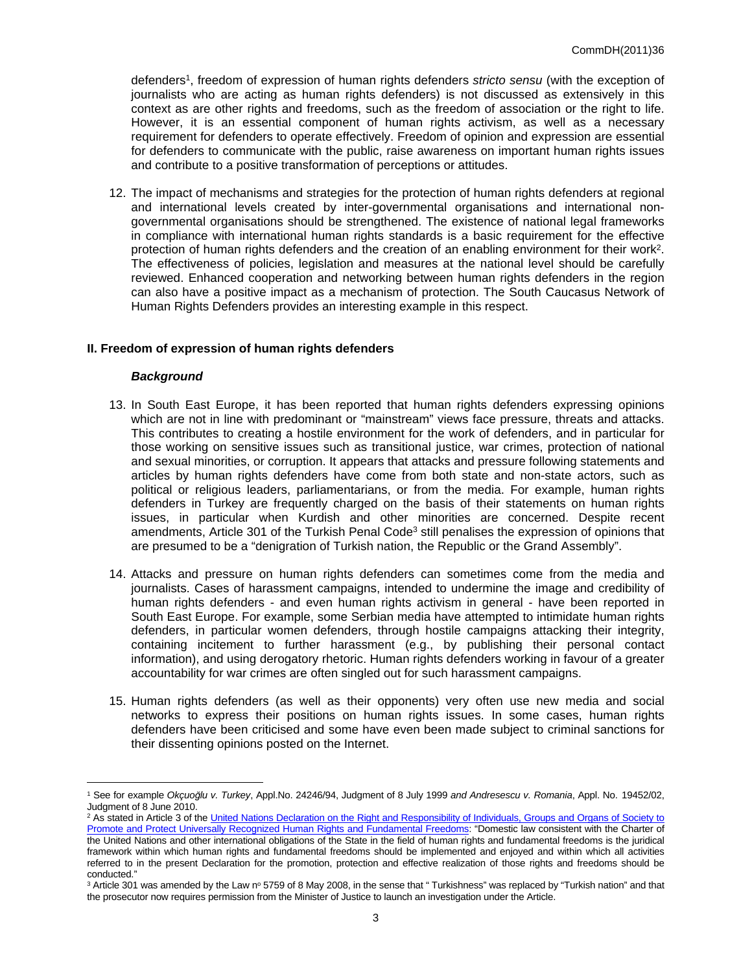defenders<sup>1</sup>, freedom of expression of human rights defenders *stricto sensu* (with the exception of journalists who are acting as human rights defenders) is not discussed as extensively in this context as are other rights and freedoms, such as the freedom of association or the right to life. However, it is an essential component of human rights activism, as well as a necessary requirement for defenders to operate effectively. Freedom of opinion and expression are essential for defenders to communicate with the public, raise awareness on important human rights issues and contribute to a positive transformation of perceptions or attitudes.

12. The impact of mechanisms and strategies for the protection of human rights defenders at regional and international levels created by inter-governmental organisations and international nongovernmental organisations should be strengthened. The existence of national legal frameworks in compliance with international human rights standards is a basic requirement for the effective protection of human rights defenders and the creation of an enabling environment for their work<sup>2</sup>. The effectiveness of policies, legislation and measures at the national level should be carefully reviewed. Enhanced cooperation and networking between human rights defenders in the region can also have a positive impact as a mechanism of protection. The South Caucasus Network of Human Rights Defenders provides an interesting example in this respect.

#### **II. Freedom of expression of human rights defenders**

#### *Background*

- 13. In South East Europe, it has been reported that human rights defenders expressing opinions which are not in line with predominant or "mainstream" views face pressure, threats and attacks. This contributes to creating a hostile environment for the work of defenders, and in particular for those working on sensitive issues such as transitional justice, war crimes, protection of national and sexual minorities, or corruption. It appears that attacks and pressure following statements and articles by human rights defenders have come from both state and non-state actors, such as political or religious leaders, parliamentarians, or from the media. For example, human rights defenders in Turkey are frequently charged on the basis of their statements on human rights issues, in particular when Kurdish and other minorities are concerned. Despite recent amendments, Article 301 of the Turkish Penal Code<sup>3</sup> still penalises the expression of opinions that are presumed to be a "denigration of Turkish nation, the Republic or the Grand Assembly".
- 14. Attacks and pressure on human rights defenders can sometimes come from the media and journalists. Cases of harassment campaigns, intended to undermine the image and credibility of human rights defenders - and even human rights activism in general - have been reported in South East Europe. For example, some Serbian media have attempted to intimidate human rights defenders, in particular women defenders, through hostile campaigns attacking their integrity, containing incitement to further harassment (e.g., by publishing their personal contact information), and using derogatory rhetoric. Human rights defenders working in favour of a greater accountability for war crimes are often singled out for such harassment campaigns.
- 15. Human rights defenders (as well as their opponents) very often use new media and social networks to express their positions on human rights issues. In some cases, human rights defenders have been criticised and some have even been made subject to criminal sanctions for their dissenting opinions posted on the Internet.

<sup>1</sup> See for example *Okçuoğlu v. Turkey*, Appl.No. 24246/94, Judgment of 8 July 1999 *and Andresescu v. Romania*, Appl. No. 19452/02, Judgment of 8 June 2010.

<sup>&</sup>lt;sup>2</sup> As stated in Article 3 of the United Nations Declaration on the Right and Responsibility of Individuals, Groups and Organs of Society to [Promote and Protect Universally Recognized Human Rights and Fundamental Freedoms:](http://daccess-dds-ny.un.org/doc/UNDOC/GEN/N99/770/89/PDF/N9977089.pdf?OpenElement) "Domestic law consistent with the Charter of the United Nations and other international obligations of the State in the field of human rights and fundamental freedoms is the juridical framework within which human rights and fundamental freedoms should be implemented and enjoyed and within which all activities referred to in the present Declaration for the promotion, protection and effective realization of those rights and freedoms should be conducted."

 $3$  Article 301 was amended by the Law nº 5759 of 8 May 2008, in the sense that " Turkishness" was replaced by "Turkish nation" and that the prosecutor now requires permission from the Minister of Justice to launch an investigation under the Article.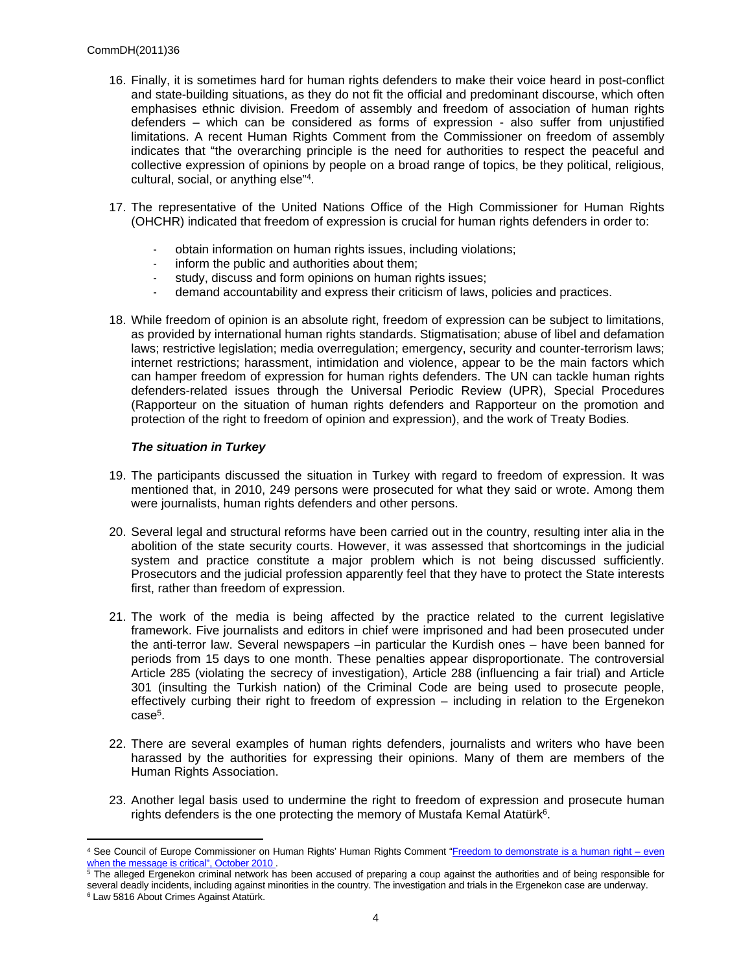- 16. Finally, it is sometimes hard for human rights defenders to make their voice heard in post-conflict and state-building situations, as they do not fit the official and predominant discourse, which often emphasises ethnic division. Freedom of assembly and freedom of association of human rights defenders – which can be considered as forms of expression - also suffer from unjustified limitations. A recent Human Rights Comment from the Commissioner on freedom of assembly indicates that "the overarching principle is the need for authorities to respect the peaceful and collective expression of opinions by people on a broad range of topics, be they political, religious, cultural, social, or anything else"<sup>4</sup> .
- 17. The representative of the United Nations Office of the High Commissioner for Human Rights (OHCHR) indicated that freedom of expression is crucial for human rights defenders in order to:
	- obtain information on human rights issues, including violations;
	- inform the public and authorities about them;
	- study, discuss and form opinions on human rights issues;
	- demand accountability and express their criticism of laws, policies and practices.
- 18. While freedom of opinion is an absolute right, freedom of expression can be subject to limitations, as provided by international human rights standards. Stigmatisation; abuse of libel and defamation laws; restrictive legislation; media overregulation; emergency, security and counter-terrorism laws; internet restrictions; harassment, intimidation and violence, appear to be the main factors which can hamper freedom of expression for human rights defenders. The UN can tackle human rights defenders-related issues through the Universal Periodic Review (UPR), Special Procedures (Rapporteur on the situation of human rights defenders and Rapporteur on the promotion and protection of the right to freedom of opinion and expression), and the work of Treaty Bodies.

### *The situation in Turkey*

- 19. The participants discussed the situation in Turkey with regard to freedom of expression. It was mentioned that, in 2010, 249 persons were prosecuted for what they said or wrote. Among them were journalists, human rights defenders and other persons.
- 20. Several legal and structural reforms have been carried out in the country, resulting inter alia in the abolition of the state security courts. However, it was assessed that shortcomings in the judicial system and practice constitute a major problem which is not being discussed sufficiently. Prosecutors and the judicial profession apparently feel that they have to protect the State interests first, rather than freedom of expression.
- 21. The work of the media is being affected by the practice related to the current legislative framework. Five journalists and editors in chief were imprisoned and had been prosecuted under the anti-terror law. Several newspapers –in particular the Kurdish ones – have been banned for periods from 15 days to one month. These penalties appear disproportionate. The controversial Article 285 (violating the secrecy of investigation), Article 288 (influencing a fair trial) and Article 301 (insulting the Turkish nation) of the Criminal Code are being used to prosecute people, effectively curbing their right to freedom of expression – including in relation to the Ergenekon case<sup>5</sup>.
- 22. There are several examples of human rights defenders, journalists and writers who have been harassed by the authorities for expressing their opinions. Many of them are members of the Human Rights Association.
- 23. Another legal basis used to undermine the right to freedom of expression and prosecute human rights defenders is the one protecting the memory of Mustafa Kemal Atatürk $6$ .

<sup>&</sup>lt;sup>4</sup> See Council of Europe Commissioner on Human Rights' Human Rights Comment "Freedom to demonstrate is a human right – even [when the message is critical", October 2010](http://commissioner.cws.coe.int/tiki-view_blog_post.php?postId=96) .<br><sup>5</sup> The alleged Ergenekon criminal network has been accused of preparing a coup against the authorities and of being responsible for

several deadly incidents, including against minorities in the country. The investigation and trials in the Ergenekon case are underway.

<sup>6</sup> Law 5816 About Crimes Against Atatürk.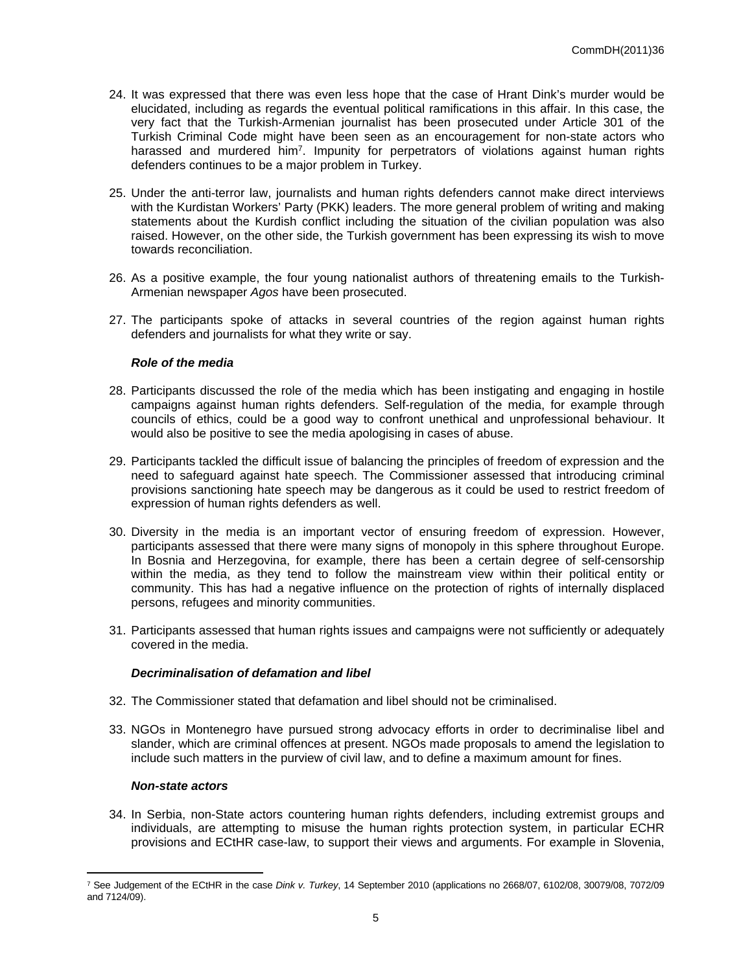- 24. It was expressed that there was even less hope that the case of Hrant Dink's murder would be elucidated, including as regards the eventual political ramifications in this affair. In this case, the very fact that the Turkish-Armenian journalist has been prosecuted under Article 301 of the Turkish Criminal Code might have been seen as an encouragement for non-state actors who harassed and murdered him<sup>7</sup>. Impunity for perpetrators of violations against human rights defenders continues to be a major problem in Turkey.
- 25. Under the anti-terror law, journalists and human rights defenders cannot make direct interviews with the Kurdistan Workers' Party (PKK) leaders. The more general problem of writing and making statements about the Kurdish conflict including the situation of the civilian population was also raised. However, on the other side, the Turkish government has been expressing its wish to move towards reconciliation.
- 26. As a positive example, the four young nationalist authors of threatening emails to the Turkish-Armenian newspaper *Agos* have been prosecuted.
- 27. The participants spoke of attacks in several countries of the region against human rights defenders and journalists for what they write or say.

#### *Role of the media*

- 28. Participants discussed the role of the media which has been instigating and engaging in hostile campaigns against human rights defenders. Self-regulation of the media, for example through councils of ethics, could be a good way to confront unethical and unprofessional behaviour. It would also be positive to see the media apologising in cases of abuse.
- 29. Participants tackled the difficult issue of balancing the principles of freedom of expression and the need to safeguard against hate speech. The Commissioner assessed that introducing criminal provisions sanctioning hate speech may be dangerous as it could be used to restrict freedom of expression of human rights defenders as well.
- 30. Diversity in the media is an important vector of ensuring freedom of expression. However, participants assessed that there were many signs of monopoly in this sphere throughout Europe. In Bosnia and Herzegovina, for example, there has been a certain degree of self-censorship within the media, as they tend to follow the mainstream view within their political entity or community. This has had a negative influence on the protection of rights of internally displaced persons, refugees and minority communities.
- 31. Participants assessed that human rights issues and campaigns were not sufficiently or adequately covered in the media.

#### *Decriminalisation of defamation and libel*

- 32. The Commissioner stated that defamation and libel should not be criminalised.
- 33. NGOs in Montenegro have pursued strong advocacy efforts in order to decriminalise libel and slander, which are criminal offences at present. NGOs made proposals to amend the legislation to include such matters in the purview of civil law, and to define a maximum amount for fines.

#### *Non-state actors*

34. In Serbia, non-State actors countering human rights defenders, including extremist groups and individuals, are attempting to misuse the human rights protection system, in particular ECHR provisions and ECtHR case-law, to support their views and arguments. For example in Slovenia,

<sup>7</sup> See Judgement of the ECtHR in the case *Dink v. Turkey*, 14 September 2010 (applications no 2668/07, 6102/08, 30079/08, 7072/09 and 7124/09).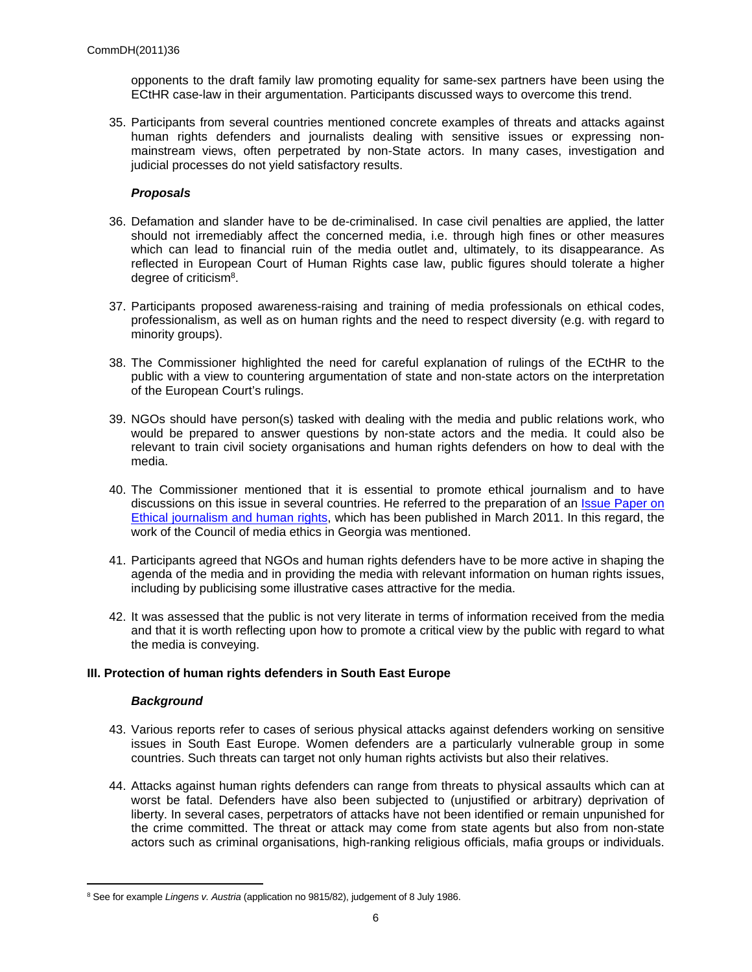opponents to the draft family law promoting equality for same-sex partners have been using the ECtHR case-law in their argumentation. Participants discussed ways to overcome this trend.

35. Participants from several countries mentioned concrete examples of threats and attacks against human rights defenders and journalists dealing with sensitive issues or expressing nonmainstream views, often perpetrated by non-State actors. In many cases, investigation and judicial processes do not yield satisfactory results.

## *Proposals*

- 36. Defamation and slander have to be de-criminalised. In case civil penalties are applied, the latter should not irremediably affect the concerned media, i.e. through high fines or other measures which can lead to financial ruin of the media outlet and, ultimately, to its disappearance. As reflected in European Court of Human Rights case law, public figures should tolerate a higher degree of criticism<sup>8</sup>.
- 37. Participants proposed awareness-raising and training of media professionals on ethical codes, professionalism, as well as on human rights and the need to respect diversity (e.g. with regard to minority groups).
- 38. The Commissioner highlighted the need for careful explanation of rulings of the ECtHR to the public with a view to countering argumentation of state and non-state actors on the interpretation of the European Court's rulings.
- 39. NGOs should have person(s) tasked with dealing with the media and public relations work, who would be prepared to answer questions by non-state actors and the media. It could also be relevant to train civil society organisations and human rights defenders on how to deal with the media.
- 40. The Commissioner mentioned that it is essential to promote ethical journalism and to have discussions on this issue in several countries. He referred to the preparation of an [Issue Paper on](https://wcd.coe.int/wcd/ViewDoc.jsp?id=1751753)  [Ethical journalism and human rights,](https://wcd.coe.int/wcd/ViewDoc.jsp?id=1751753) which has been published in March 2011. In this regard, the work of the Council of media ethics in Georgia was mentioned.
- 41. Participants agreed that NGOs and human rights defenders have to be more active in shaping the agenda of the media and in providing the media with relevant information on human rights issues, including by publicising some illustrative cases attractive for the media.
- 42. It was assessed that the public is not very literate in terms of information received from the media and that it is worth reflecting upon how to promote a critical view by the public with regard to what the media is conveying.

#### **III. Protection of human rights defenders in South East Europe**

#### *Background*

- 43. Various reports refer to cases of serious physical attacks against defenders working on sensitive issues in South East Europe. Women defenders are a particularly vulnerable group in some countries. Such threats can target not only human rights activists but also their relatives.
- 44. Attacks against human rights defenders can range from threats to physical assaults which can at worst be fatal. Defenders have also been subjected to (unjustified or arbitrary) deprivation of liberty. In several cases, perpetrators of attacks have not been identified or remain unpunished for the crime committed. The threat or attack may come from state agents but also from non-state actors such as criminal organisations, high-ranking religious officials, mafia groups or individuals.

<sup>8</sup> See for example *Lingens v. Austria* (application no 9815/82), judgement of 8 July 1986.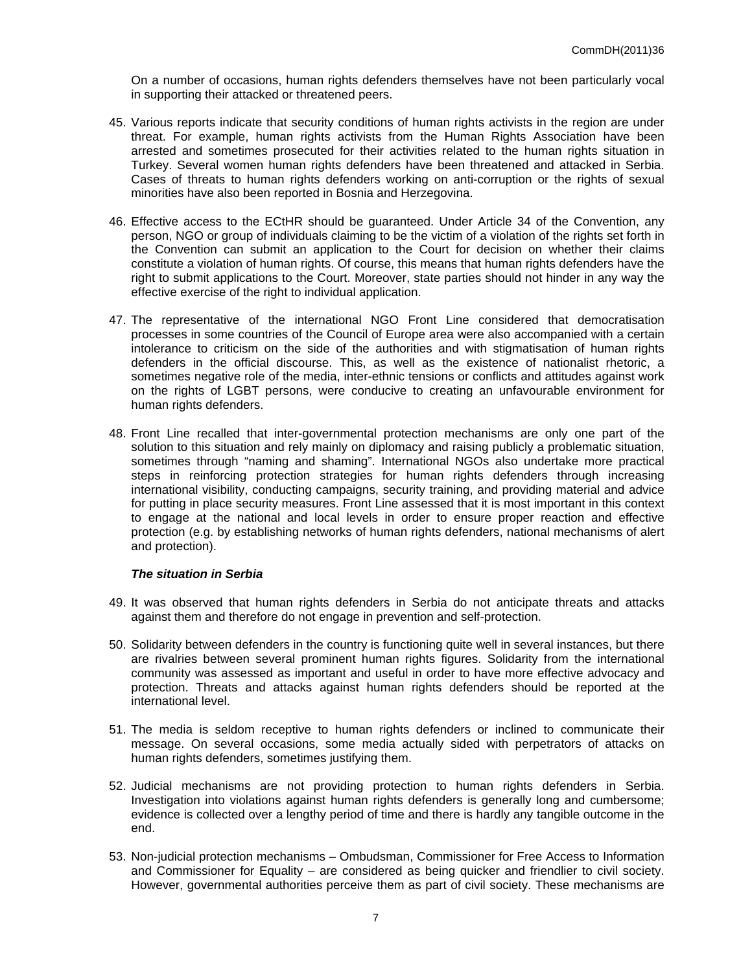On a number of occasions, human rights defenders themselves have not been particularly vocal in supporting their attacked or threatened peers.

- 45. Various reports indicate that security conditions of human rights activists in the region are under threat. For example, human rights activists from the Human Rights Association have been arrested and sometimes prosecuted for their activities related to the human rights situation in Turkey. Several women human rights defenders have been threatened and attacked in Serbia. Cases of threats to human rights defenders working on anti-corruption or the rights of sexual minorities have also been reported in Bosnia and Herzegovina.
- 46. Effective access to the ECtHR should be guaranteed. Under Article 34 of the Convention, any person, NGO or group of individuals claiming to be the victim of a violation of the rights set forth in the Convention can submit an application to the Court for decision on whether their claims constitute a violation of human rights. Of course, this means that human rights defenders have the right to submit applications to the Court. Moreover, state parties should not hinder in any way the effective exercise of the right to individual application.
- 47. The representative of the international NGO Front Line considered that democratisation processes in some countries of the Council of Europe area were also accompanied with a certain intolerance to criticism on the side of the authorities and with stigmatisation of human rights defenders in the official discourse. This, as well as the existence of nationalist rhetoric, a sometimes negative role of the media, inter-ethnic tensions or conflicts and attitudes against work on the rights of LGBT persons, were conducive to creating an unfavourable environment for human rights defenders.
- 48. Front Line recalled that inter-governmental protection mechanisms are only one part of the solution to this situation and rely mainly on diplomacy and raising publicly a problematic situation, sometimes through "naming and shaming". International NGOs also undertake more practical steps in reinforcing protection strategies for human rights defenders through increasing international visibility, conducting campaigns, security training, and providing material and advice for putting in place security measures. Front Line assessed that it is most important in this context to engage at the national and local levels in order to ensure proper reaction and effective protection (e.g. by establishing networks of human rights defenders, national mechanisms of alert and protection).

#### *The situation in Serbia*

- 49. It was observed that human rights defenders in Serbia do not anticipate threats and attacks against them and therefore do not engage in prevention and self-protection.
- 50. Solidarity between defenders in the country is functioning quite well in several instances, but there are rivalries between several prominent human rights figures. Solidarity from the international community was assessed as important and useful in order to have more effective advocacy and protection. Threats and attacks against human rights defenders should be reported at the international level.
- 51. The media is seldom receptive to human rights defenders or inclined to communicate their message. On several occasions, some media actually sided with perpetrators of attacks on human rights defenders, sometimes justifying them.
- 52. Judicial mechanisms are not providing protection to human rights defenders in Serbia. Investigation into violations against human rights defenders is generally long and cumbersome; evidence is collected over a lengthy period of time and there is hardly any tangible outcome in the end.
- 53. Non-judicial protection mechanisms Ombudsman, Commissioner for Free Access to Information and Commissioner for Equality – are considered as being quicker and friendlier to civil society. However, governmental authorities perceive them as part of civil society. These mechanisms are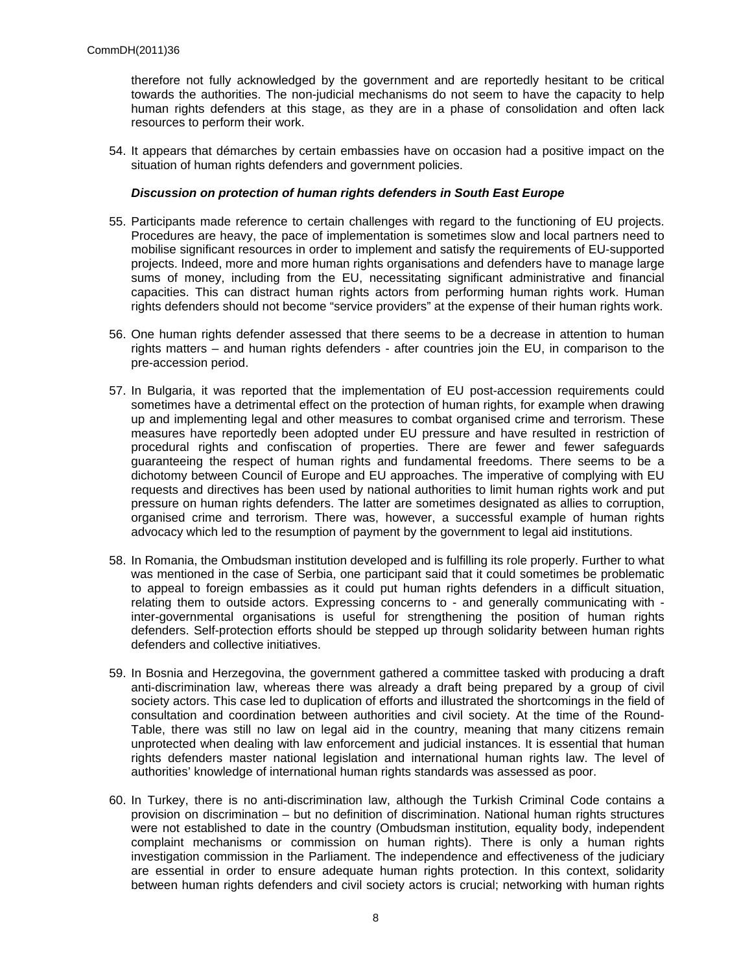therefore not fully acknowledged by the government and are reportedly hesitant to be critical towards the authorities. The non-judicial mechanisms do not seem to have the capacity to help human rights defenders at this stage, as they are in a phase of consolidation and often lack resources to perform their work.

54. It appears that démarches by certain embassies have on occasion had a positive impact on the situation of human rights defenders and government policies.

#### *Discussion on protection of human rights defenders in South East Europe*

- 55. Participants made reference to certain challenges with regard to the functioning of EU projects. Procedures are heavy, the pace of implementation is sometimes slow and local partners need to mobilise significant resources in order to implement and satisfy the requirements of EU-supported projects. Indeed, more and more human rights organisations and defenders have to manage large sums of money, including from the EU, necessitating significant administrative and financial capacities. This can distract human rights actors from performing human rights work. Human rights defenders should not become "service providers" at the expense of their human rights work.
- 56. One human rights defender assessed that there seems to be a decrease in attention to human rights matters – and human rights defenders - after countries join the EU, in comparison to the pre-accession period.
- 57. In Bulgaria, it was reported that the implementation of EU post-accession requirements could sometimes have a detrimental effect on the protection of human rights, for example when drawing up and implementing legal and other measures to combat organised crime and terrorism. These measures have reportedly been adopted under EU pressure and have resulted in restriction of procedural rights and confiscation of properties. There are fewer and fewer safeguards guaranteeing the respect of human rights and fundamental freedoms. There seems to be a dichotomy between Council of Europe and EU approaches. The imperative of complying with EU requests and directives has been used by national authorities to limit human rights work and put pressure on human rights defenders. The latter are sometimes designated as allies to corruption, organised crime and terrorism. There was, however, a successful example of human rights advocacy which led to the resumption of payment by the government to legal aid institutions.
- 58. In Romania, the Ombudsman institution developed and is fulfilling its role properly. Further to what was mentioned in the case of Serbia, one participant said that it could sometimes be problematic to appeal to foreign embassies as it could put human rights defenders in a difficult situation, relating them to outside actors. Expressing concerns to - and generally communicating with inter-governmental organisations is useful for strengthening the position of human rights defenders. Self-protection efforts should be stepped up through solidarity between human rights defenders and collective initiatives.
- 59. In Bosnia and Herzegovina, the government gathered a committee tasked with producing a draft anti-discrimination law, whereas there was already a draft being prepared by a group of civil society actors. This case led to duplication of efforts and illustrated the shortcomings in the field of consultation and coordination between authorities and civil society. At the time of the Round-Table, there was still no law on legal aid in the country, meaning that many citizens remain unprotected when dealing with law enforcement and judicial instances. It is essential that human rights defenders master national legislation and international human rights law. The level of authorities' knowledge of international human rights standards was assessed as poor.
- 60. In Turkey, there is no anti-discrimination law, although the Turkish Criminal Code contains a provision on discrimination – but no definition of discrimination. National human rights structures were not established to date in the country (Ombudsman institution, equality body, independent complaint mechanisms or commission on human rights). There is only a human rights investigation commission in the Parliament. The independence and effectiveness of the judiciary are essential in order to ensure adequate human rights protection. In this context, solidarity between human rights defenders and civil society actors is crucial; networking with human rights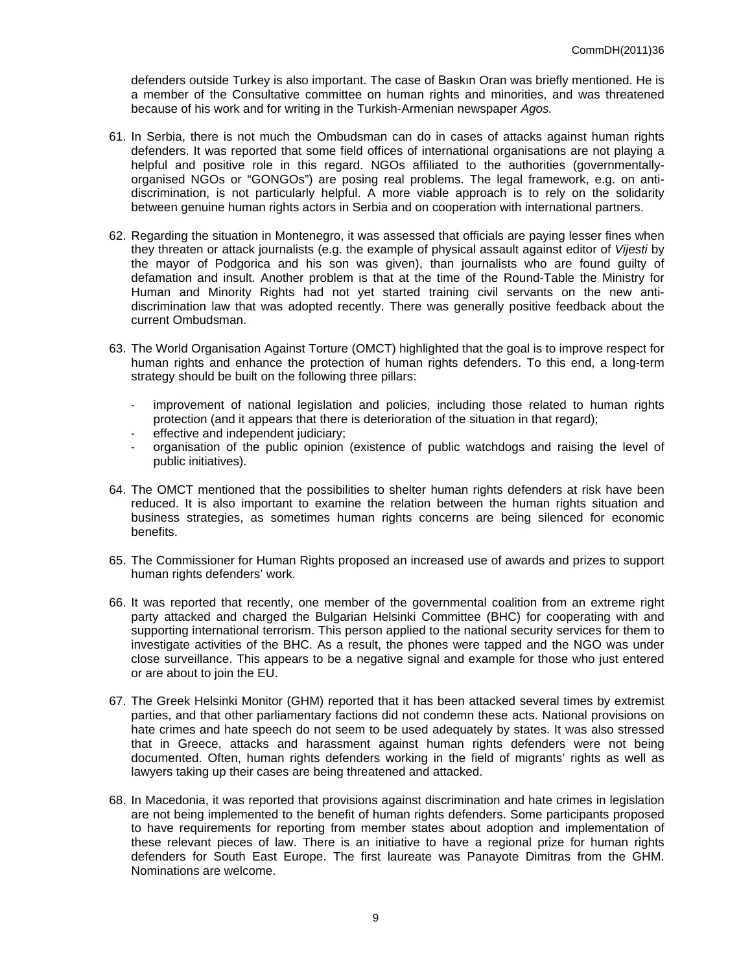defenders outside Turkey is also important. The case of Baskın Oran was briefly mentioned. He is a member of the Consultative committee on human rights and minorities, and was threatened because of his work and for writing in the Turkish-Armenian newspaper *Agos.*

- 61. In Serbia, there is not much the Ombudsman can do in cases of attacks against human rights defenders. It was reported that some field offices of international organisations are not playing a helpful and positive role in this regard. NGOs affiliated to the authorities (governmentallyorganised NGOs or "GONGOs") are posing real problems. The legal framework, e.g. on antidiscrimination, is not particularly helpful. A more viable approach is to rely on the solidarity between genuine human rights actors in Serbia and on cooperation with international partners.
- 62. Regarding the situation in Montenegro, it was assessed that officials are paying lesser fines when they threaten or attack journalists (e.g. the example of physical assault against editor of *Vijesti* by the mayor of Podgorica and his son was given), than journalists who are found guilty of defamation and insult. Another problem is that at the time of the Round-Table the Ministry for Human and Minority Rights had not yet started training civil servants on the new antidiscrimination law that was adopted recently. There was generally positive feedback about the current Ombudsman.
- 63. The World Organisation Against Torture (OMCT) highlighted that the goal is to improve respect for human rights and enhance the protection of human rights defenders. To this end, a long-term strategy should be built on the following three pillars:
	- improvement of national legislation and policies, including those related to human rights protection (and it appears that there is deterioration of the situation in that regard);
	- effective and independent judiciary;
	- organisation of the public opinion (existence of public watchdogs and raising the level of public initiatives).
- 64. The OMCT mentioned that the possibilities to shelter human rights defenders at risk have been reduced. It is also important to examine the relation between the human rights situation and business strategies, as sometimes human rights concerns are being silenced for economic benefits.
- 65. The Commissioner for Human Rights proposed an increased use of awards and prizes to support human rights defenders' work.
- 66. It was reported that recently, one member of the governmental coalition from an extreme right party attacked and charged the Bulgarian Helsinki Committee (BHC) for cooperating with and supporting international terrorism. This person applied to the national security services for them to investigate activities of the BHC. As a result, the phones were tapped and the NGO was under close surveillance. This appears to be a negative signal and example for those who just entered or are about to join the EU.
- 67. The Greek Helsinki Monitor (GHM) reported that it has been attacked several times by extremist parties, and that other parliamentary factions did not condemn these acts. National provisions on hate crimes and hate speech do not seem to be used adequately by states. It was also stressed that in Greece, attacks and harassment against human rights defenders were not being documented. Often, human rights defenders working in the field of migrants' rights as well as lawyers taking up their cases are being threatened and attacked.
- 68. In Macedonia, it was reported that provisions against discrimination and hate crimes in legislation are not being implemented to the benefit of human rights defenders. Some participants proposed to have requirements for reporting from member states about adoption and implementation of these relevant pieces of law. There is an initiative to have a regional prize for human rights defenders for South East Europe. The first laureate was Panayote Dimitras from the GHM. Nominations are welcome.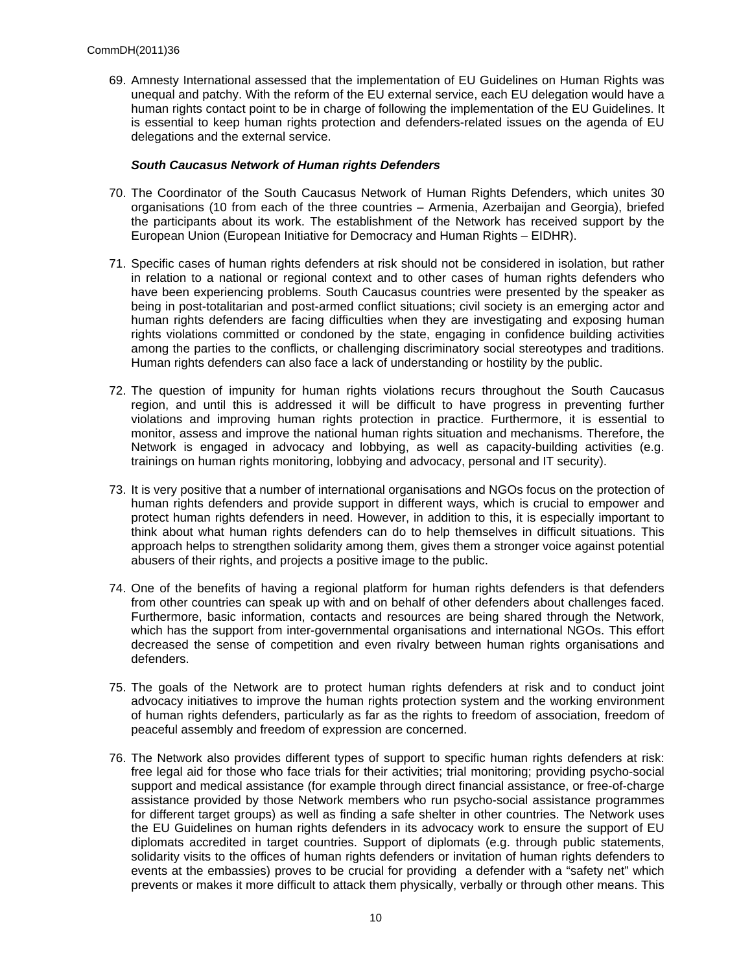69. Amnesty International assessed that the implementation of EU Guidelines on Human Rights was unequal and patchy. With the reform of the EU external service, each EU delegation would have a human rights contact point to be in charge of following the implementation of the EU Guidelines. It is essential to keep human rights protection and defenders-related issues on the agenda of EU delegations and the external service.

### *South Caucasus Network of Human rights Defenders*

- 70. The Coordinator of the South Caucasus Network of Human Rights Defenders, which unites 30 organisations (10 from each of the three countries – Armenia, Azerbaijan and Georgia), briefed the participants about its work. The establishment of the Network has received support by the European Union (European Initiative for Democracy and Human Rights – EIDHR).
- 71. Specific cases of human rights defenders at risk should not be considered in isolation, but rather in relation to a national or regional context and to other cases of human rights defenders who have been experiencing problems. South Caucasus countries were presented by the speaker as being in post-totalitarian and post-armed conflict situations; civil society is an emerging actor and human rights defenders are facing difficulties when they are investigating and exposing human rights violations committed or condoned by the state, engaging in confidence building activities among the parties to the conflicts, or challenging discriminatory social stereotypes and traditions. Human rights defenders can also face a lack of understanding or hostility by the public.
- 72. The question of impunity for human rights violations recurs throughout the South Caucasus region, and until this is addressed it will be difficult to have progress in preventing further violations and improving human rights protection in practice. Furthermore, it is essential to monitor, assess and improve the national human rights situation and mechanisms. Therefore, the Network is engaged in advocacy and lobbying, as well as capacity-building activities (e.g. trainings on human rights monitoring, lobbying and advocacy, personal and IT security).
- 73. It is very positive that a number of international organisations and NGOs focus on the protection of human rights defenders and provide support in different ways, which is crucial to empower and protect human rights defenders in need. However, in addition to this, it is especially important to think about what human rights defenders can do to help themselves in difficult situations. This approach helps to strengthen solidarity among them, gives them a stronger voice against potential abusers of their rights, and projects a positive image to the public.
- 74. One of the benefits of having a regional platform for human rights defenders is that defenders from other countries can speak up with and on behalf of other defenders about challenges faced. Furthermore, basic information, contacts and resources are being shared through the Network, which has the support from inter-governmental organisations and international NGOs. This effort decreased the sense of competition and even rivalry between human rights organisations and defenders.
- 75. The goals of the Network are to protect human rights defenders at risk and to conduct joint advocacy initiatives to improve the human rights protection system and the working environment of human rights defenders, particularly as far as the rights to freedom of association, freedom of peaceful assembly and freedom of expression are concerned.
- 76. The Network also provides different types of support to specific human rights defenders at risk: free legal aid for those who face trials for their activities; trial monitoring; providing psycho-social support and medical assistance (for example through direct financial assistance, or free-of-charge assistance provided by those Network members who run psycho-social assistance programmes for different target groups) as well as finding a safe shelter in other countries. The Network uses the EU Guidelines on human rights defenders in its advocacy work to ensure the support of EU diplomats accredited in target countries. Support of diplomats (e.g. through public statements, solidarity visits to the offices of human rights defenders or invitation of human rights defenders to events at the embassies) proves to be crucial for providing a defender with a "safety net" which prevents or makes it more difficult to attack them physically, verbally or through other means. This